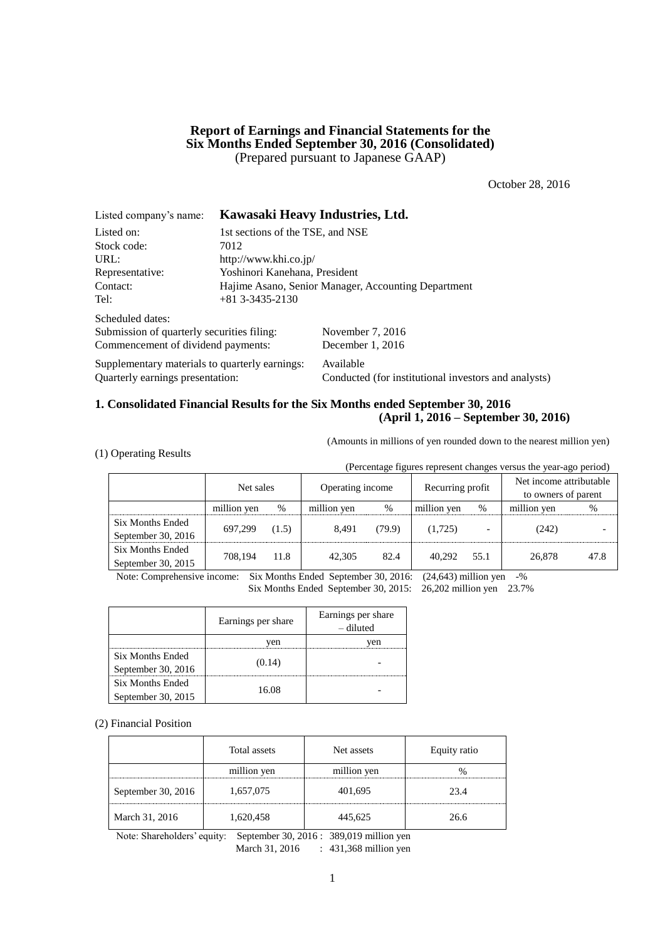## **Report of Earnings and Financial Statements for the Six Months Ended September 30, 2016 (Consolidated)** (Prepared pursuant to Japanese GAAP)

October 28, 2016

| Listed company's name:                         |                                                     | Kawasaki Heavy Industries, Ltd.                      |  |  |  |
|------------------------------------------------|-----------------------------------------------------|------------------------------------------------------|--|--|--|
| Listed on:                                     | 1st sections of the TSE, and NSE                    |                                                      |  |  |  |
| Stock code:                                    | 7012                                                |                                                      |  |  |  |
| URL:                                           | http://www.khi.co.jp/                               |                                                      |  |  |  |
| Representative:                                | Yoshinori Kanehana, President                       |                                                      |  |  |  |
| Contact:                                       | Hajime Asano, Senior Manager, Accounting Department |                                                      |  |  |  |
| Tel:                                           | $+81$ 3-3435-2130                                   |                                                      |  |  |  |
| Scheduled dates:                               |                                                     |                                                      |  |  |  |
| Submission of quarterly securities filing:     |                                                     | November $7,2016$                                    |  |  |  |
| Commencement of dividend payments:             |                                                     | December $1, 2016$                                   |  |  |  |
| Supplementary materials to quarterly earnings: |                                                     | Available                                            |  |  |  |
| Quarterly earnings presentation:               |                                                     | Conducted (for institutional investors and analysts) |  |  |  |

## **1. Consolidated Financial Results for the Six Months ended September 30, 2016 (April 1, 2016 – September 30, 2016)**

(Amounts in millions of yen rounded down to the nearest million yen)

|  | (1) Operating Results |  |
|--|-----------------------|--|
|--|-----------------------|--|

(Percentage figures represent changes versus the year-ago period)

|                         | Net sales   |       | Operating income |        | Recurring profit |      | Net income attributable<br>to owners of parent |      |
|-------------------------|-------------|-------|------------------|--------|------------------|------|------------------------------------------------|------|
|                         | million yen | %     | million yen      | %      | million yen      | $\%$ | million yen                                    | $\%$ |
| Six Months Ended        | 697.299     | (1.5) | 8.491            | (79.9) | (1,725)          |      | (242)                                          |      |
| September 30, 2016      |             |       |                  |        |                  |      |                                                |      |
| <b>Six Months Ended</b> | 708.194     | 11.8  | 42,305           | 82.4   | 40.292           | 55.1 | 26,878                                         | 47.8 |
| September 30, 2015      |             |       |                  |        |                  |      |                                                |      |

Note: Comprehensive income: Six Months Ended September 30, 2016: (24,643) million yen -%

Six Months Ended September 30, 2015: 26,202 million yen 23.7%

|                         | Earnings per share | Earnings per share<br>– diluted |
|-------------------------|--------------------|---------------------------------|
|                         | ven                | ven                             |
| <b>Six Months Ended</b> |                    |                                 |
| September 30, 2016      | (0.14)             |                                 |
| <b>Six Months Ended</b> |                    |                                 |
| September 30, 2015      | 16.08              |                                 |

(2) Financial Position

|                    | Total assets | Net assets  | Equity ratio |
|--------------------|--------------|-------------|--------------|
|                    | million yen  | million yen |              |
| September 30, 2016 | 1,657,075    | 401,695     | 23.4         |
| March 31, 2016     | 1,620,458    | 445,625     | 26.6         |

Note: Shareholders' equity: September 30, 2016 : 389,019 million yen March 31, 2016 : 431,368 million yen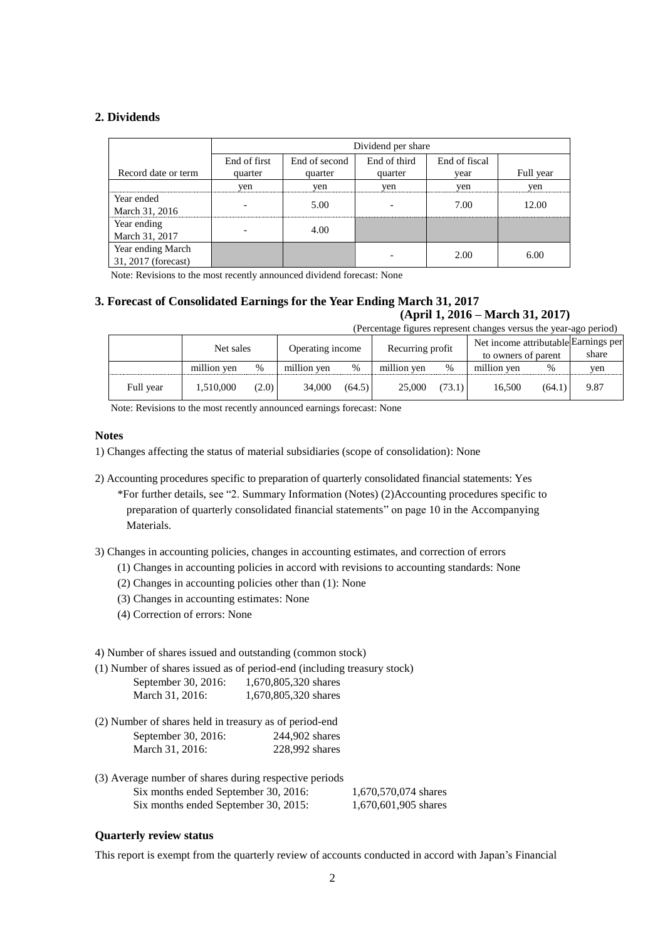## **2. Dividends**

|                                          | Dividend per share |               |              |               |           |  |  |  |
|------------------------------------------|--------------------|---------------|--------------|---------------|-----------|--|--|--|
|                                          | End of first       | End of second | End of third | End of fiscal |           |  |  |  |
| Record date or term                      | quarter            | quarter       | quarter      | vear          | Full year |  |  |  |
|                                          | ven                | ven           | yen          | ven           | ven       |  |  |  |
| Year ended<br>March 31, 2016             |                    | 5.00          |              | 7.00          | 12.00     |  |  |  |
| Year ending<br>March 31, 2017            |                    | 4.00          |              |               |           |  |  |  |
| Year ending March<br>31, 2017 (forecast) |                    |               |              | 2.00          | 6.00      |  |  |  |

Note: Revisions to the most recently announced dividend forecast: None

## **3. Forecast of Consolidated Earnings for the Year Ending March 31, 2017**

## **(April 1, 2016 – March 31, 2017)**

| (Percentage figures represent changes versus the year-ago period) |             |       |                  |        |                  |        |                                      |        |       |
|-------------------------------------------------------------------|-------------|-------|------------------|--------|------------------|--------|--------------------------------------|--------|-------|
| Net sales                                                         |             |       | Operating income |        |                  |        | Net income attributable Earnings per |        |       |
|                                                                   |             |       |                  |        | Recurring profit |        | to owners of parent                  |        | share |
|                                                                   | million yen | %     | million yen      | %      | million yen      | $\%$   | million yen                          | %      | yen   |
| Full year                                                         | 1,510,000   | (2.0) | 34,000           | (64.5) | 25,000           | (73.1) | 16,500                               | (64.1) | 9.87  |

Note: Revisions to the most recently announced earnings forecast: None

#### **Notes**

- 1) Changes affecting the status of material subsidiaries (scope of consolidation): None
- 2) Accounting procedures specific to preparation of quarterly consolidated financial statements: Yes

\*For further details, see "2. Summary Information (Notes) (2)Accounting procedures specific to preparation of quarterly consolidated financial statements" on page 10 in the Accompanying Materials.

3) Changes in accounting policies, changes in accounting estimates, and correction of errors

- (1) Changes in accounting policies in accord with revisions to accounting standards: None
- (2) Changes in accounting policies other than (1): None
- (3) Changes in accounting estimates: None
- (4) Correction of errors: None

4) Number of shares issued and outstanding (common stock)

(1) Number of shares issued as of period-end (including treasury stock)

| September 30, 2016: | 1,670,805,320 shares |
|---------------------|----------------------|
| March 31, 2016:     | 1,670,805,320 shares |

- (2) Number of shares held in treasury as of period-end September 30, 2016: 244,902 shares March 31, 2016: 228,992 shares
- (3) Average number of shares during respective periods Six months ended September 30, 2016: 1,670,570,074 shares Six months ended September 30, 2015: 1,670,601,905 shares

## **Quarterly review status**

This report is exempt from the quarterly review of accounts conducted in accord with Japan's Financial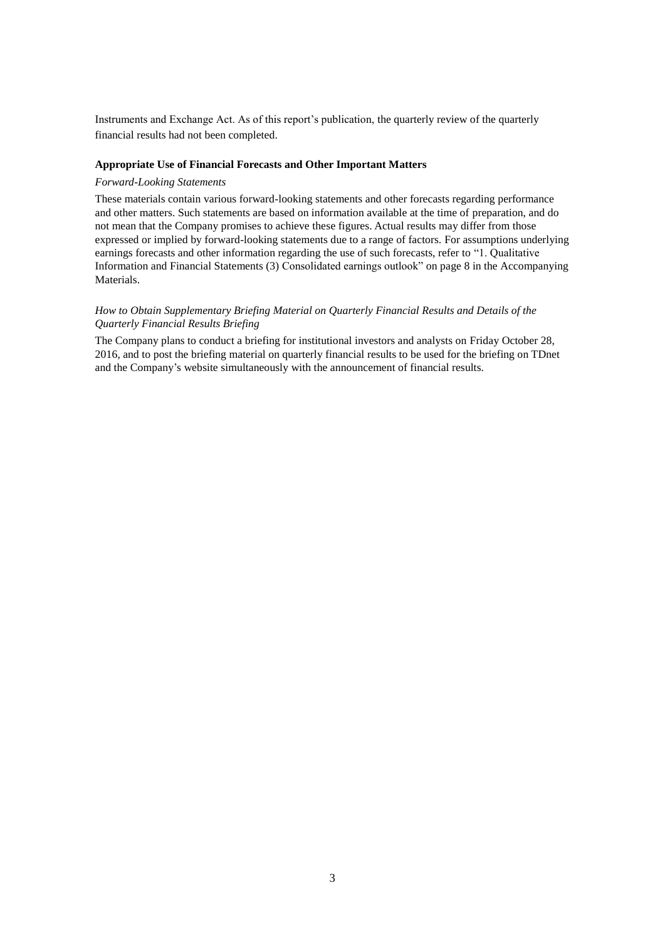Instruments and Exchange Act. As of this report's publication, the quarterly review of the quarterly financial results had not been completed.

## **Appropriate Use of Financial Forecasts and Other Important Matters**

#### *Forward-Looking Statements*

These materials contain various forward-looking statements and other forecasts regarding performance and other matters. Such statements are based on information available at the time of preparation, and do not mean that the Company promises to achieve these figures. Actual results may differ from those expressed or implied by forward-looking statements due to a range of factors. For assumptions underlying earnings forecasts and other information regarding the use of such forecasts, refer to "1. Qualitative Information and Financial Statements (3) Consolidated earnings outlook" on page 8 in the Accompanying Materials.

## *How to Obtain Supplementary Briefing Material on Quarterly Financial Results and Details of the Quarterly Financial Results Briefing*

The Company plans to conduct a briefing for institutional investors and analysts on Friday October 28, 2016, and to post the briefing material on quarterly financial results to be used for the briefing on TDnet and the Company's website simultaneously with the announcement of financial results.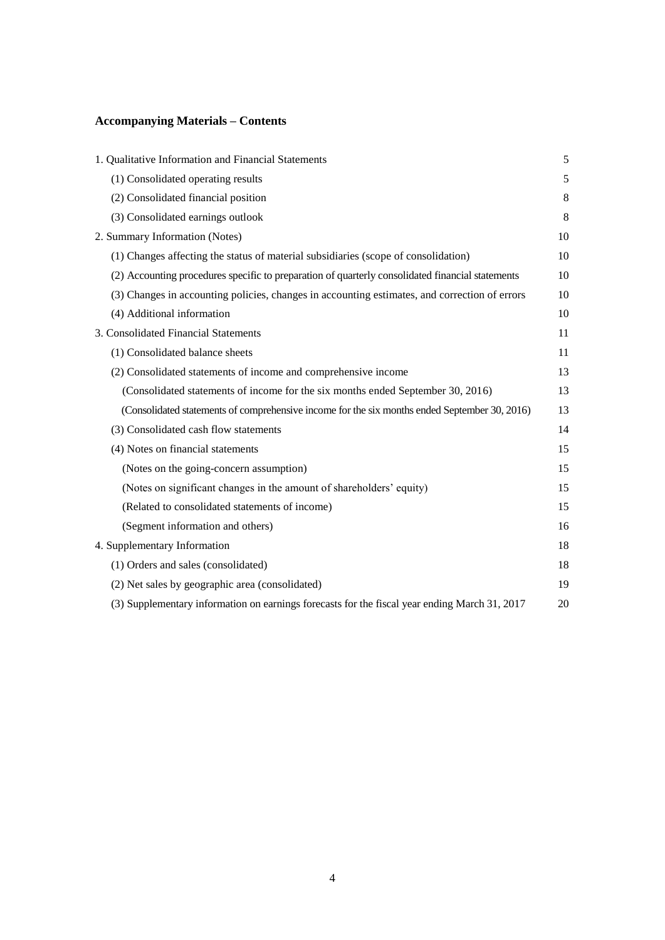## **Accompanying Materials – Contents**

| 1. Qualitative Information and Financial Statements                                              | 5  |
|--------------------------------------------------------------------------------------------------|----|
| (1) Consolidated operating results                                                               | 5  |
| (2) Consolidated financial position                                                              | 8  |
| (3) Consolidated earnings outlook                                                                | 8  |
| 2. Summary Information (Notes)                                                                   | 10 |
| (1) Changes affecting the status of material subsidiaries (scope of consolidation)               | 10 |
| (2) Accounting procedures specific to preparation of quarterly consolidated financial statements | 10 |
| (3) Changes in accounting policies, changes in accounting estimates, and correction of errors    | 10 |
| (4) Additional information                                                                       | 10 |
| 3. Consolidated Financial Statements                                                             | 11 |
| (1) Consolidated balance sheets                                                                  | 11 |
| (2) Consolidated statements of income and comprehensive income                                   | 13 |
| (Consolidated statements of income for the six months ended September 30, 2016)                  | 13 |
| (Consolidated statements of comprehensive income for the six months ended September 30, 2016)    | 13 |
| (3) Consolidated cash flow statements                                                            | 14 |
| (4) Notes on financial statements                                                                | 15 |
| (Notes on the going-concern assumption)                                                          | 15 |
| (Notes on significant changes in the amount of shareholders' equity)                             | 15 |
| (Related to consolidated statements of income)                                                   | 15 |
| (Segment information and others)                                                                 | 16 |
| 4. Supplementary Information                                                                     | 18 |
| (1) Orders and sales (consolidated)                                                              | 18 |
| (2) Net sales by geographic area (consolidated)                                                  | 19 |
| (3) Supplementary information on earnings forecasts for the fiscal year ending March 31, 2017    | 20 |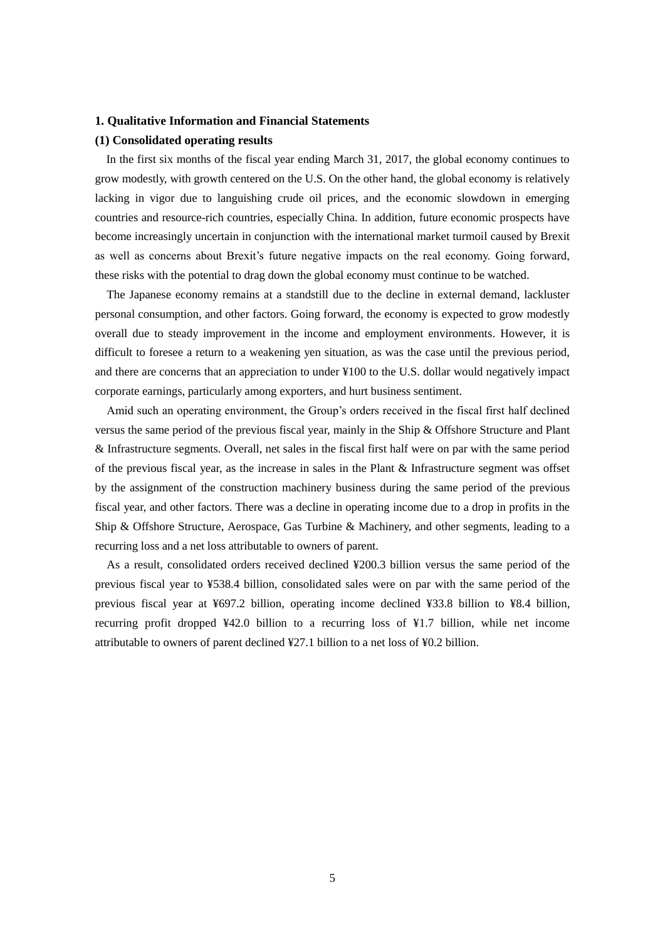#### **1. Qualitative Information and Financial Statements**

#### **(1) Consolidated operating results**

In the first six months of the fiscal year ending March 31, 2017, the global economy continues to grow modestly, with growth centered on the U.S. On the other hand, the global economy is relatively lacking in vigor due to languishing crude oil prices, and the economic slowdown in emerging countries and resource-rich countries, especially China. In addition, future economic prospects have become increasingly uncertain in conjunction with the international market turmoil caused by Brexit as well as concerns about Brexit's future negative impacts on the real economy. Going forward, these risks with the potential to drag down the global economy must continue to be watched.

The Japanese economy remains at a standstill due to the decline in external demand, lackluster personal consumption, and other factors. Going forward, the economy is expected to grow modestly overall due to steady improvement in the income and employment environments. However, it is difficult to foresee a return to a weakening yen situation, as was the case until the previous period, and there are concerns that an appreciation to under ¥100 to the U.S. dollar would negatively impact corporate earnings, particularly among exporters, and hurt business sentiment.

Amid such an operating environment, the Group's orders received in the fiscal first half declined versus the same period of the previous fiscal year, mainly in the Ship & Offshore Structure and Plant & Infrastructure segments. Overall, net sales in the fiscal first half were on par with the same period of the previous fiscal year, as the increase in sales in the Plant & Infrastructure segment was offset by the assignment of the construction machinery business during the same period of the previous fiscal year, and other factors. There was a decline in operating income due to a drop in profits in the Ship & Offshore Structure, Aerospace, Gas Turbine & Machinery, and other segments, leading to a recurring loss and a net loss attributable to owners of parent.

As a result, consolidated orders received declined ¥200.3 billion versus the same period of the previous fiscal year to ¥538.4 billion, consolidated sales were on par with the same period of the previous fiscal year at ¥697.2 billion, operating income declined ¥33.8 billion to ¥8.4 billion, recurring profit dropped ¥42.0 billion to a recurring loss of ¥1.7 billion, while net income attributable to owners of parent declined ¥27.1 billion to a net loss of ¥0.2 billion.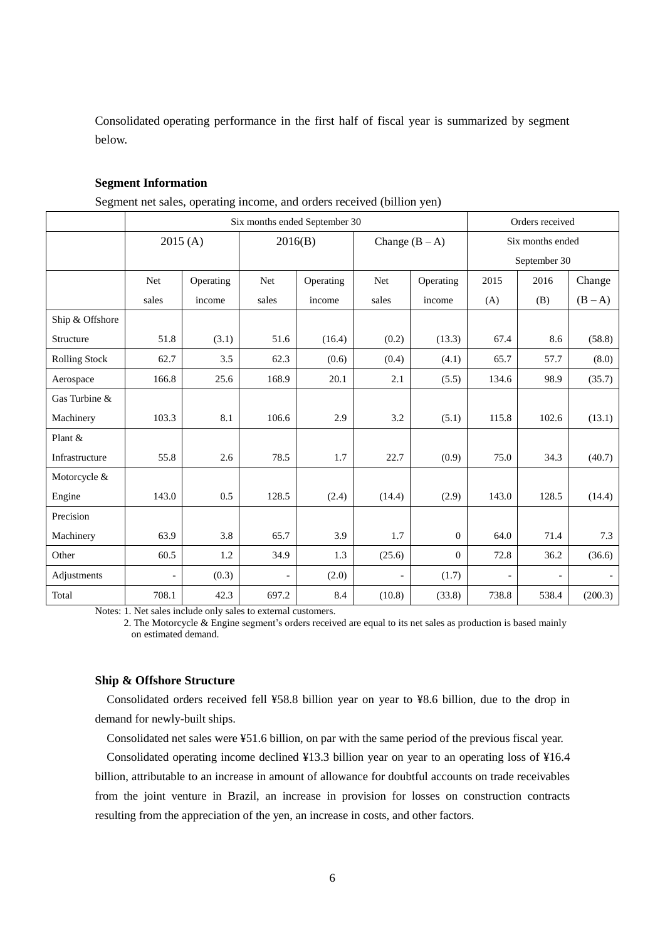Consolidated operating performance in the first half of fiscal year is summarized by segment below.

## **Segment Information**

|  | Segment net sales, operating income, and orders received (billion yen) |  |  |
|--|------------------------------------------------------------------------|--|--|
|  |                                                                        |  |  |

|                      |                          | Six months ended September 30 |                | Orders received |                  |              |                  |                          |         |  |
|----------------------|--------------------------|-------------------------------|----------------|-----------------|------------------|--------------|------------------|--------------------------|---------|--|
|                      | 2015(A)                  |                               | 2016(B)        |                 | Change $(B - A)$ |              | Six months ended |                          |         |  |
|                      |                          |                               |                |                 |                  |              |                  | September 30             |         |  |
|                      | Net                      | Operating                     | <b>Net</b>     | Operating       | Net              | Operating    | 2015             | 2016                     | Change  |  |
|                      | sales                    | income                        | sales          | income          | sales            | income       | (A)              | (B)                      | $(B-A)$ |  |
| Ship & Offshore      |                          |                               |                |                 |                  |              |                  |                          |         |  |
| Structure            | 51.8                     | (3.1)                         | 51.6           | (16.4)          | (0.2)            | (13.3)       | 67.4             | 8.6                      | (58.8)  |  |
| <b>Rolling Stock</b> | 62.7                     | 3.5                           | 62.3           | (0.6)           | (0.4)            | (4.1)        | 65.7             | 57.7                     | (8.0)   |  |
| Aerospace            | 166.8                    | 25.6                          | 168.9          | 20.1            | 2.1              | (5.5)        | 134.6            | 98.9                     | (35.7)  |  |
| Gas Turbine &        |                          |                               |                |                 |                  |              |                  |                          |         |  |
| Machinery            | 103.3                    | 8.1                           | 106.6          | 2.9             | 3.2              | (5.1)        | 115.8            | 102.6                    | (13.1)  |  |
| Plant &              |                          |                               |                |                 |                  |              |                  |                          |         |  |
| Infrastructure       | 55.8                     | 2.6                           | 78.5           | 1.7             | 22.7             | (0.9)        | 75.0             | 34.3                     | (40.7)  |  |
| Motorcycle &         |                          |                               |                |                 |                  |              |                  |                          |         |  |
| Engine               | 143.0                    | 0.5                           | 128.5          | (2.4)           | (14.4)           | (2.9)        | 143.0            | 128.5                    | (14.4)  |  |
| Precision            |                          |                               |                |                 |                  |              |                  |                          |         |  |
| Machinery            | 63.9                     | 3.8                           | 65.7           | 3.9             | 1.7              | $\mathbf{0}$ | 64.0             | 71.4                     | 7.3     |  |
| Other                | 60.5                     | 1.2                           | 34.9           | 1.3             | (25.6)           | $\Omega$     | 72.8             | 36.2                     | (36.6)  |  |
| Adjustments          | $\overline{\phantom{a}}$ | (0.3)                         | $\overline{a}$ | (2.0)           | $\frac{1}{2}$    | (1.7)        | $\overline{a}$   | $\overline{\phantom{a}}$ |         |  |
| Total                | 708.1                    | 42.3                          | 697.2          | 8.4             | (10.8)           | (33.8)       | 738.8            | 538.4                    | (200.3) |  |

Notes: 1. Net sales include only sales to external customers.

2. The Motorcycle & Engine segment's orders received are equal to its net sales as production is based mainly on estimated demand.

## **Ship & Offshore Structure**

Consolidated orders received fell ¥58.8 billion year on year to ¥8.6 billion, due to the drop in demand for newly-built ships.

Consolidated net sales were ¥51.6 billion, on par with the same period of the previous fiscal year.

Consolidated operating income declined ¥13.3 billion year on year to an operating loss of ¥16.4 billion, attributable to an increase in amount of allowance for doubtful accounts on trade receivables from the joint venture in Brazil, an increase in provision for losses on construction contracts resulting from the appreciation of the yen, an increase in costs, and other factors.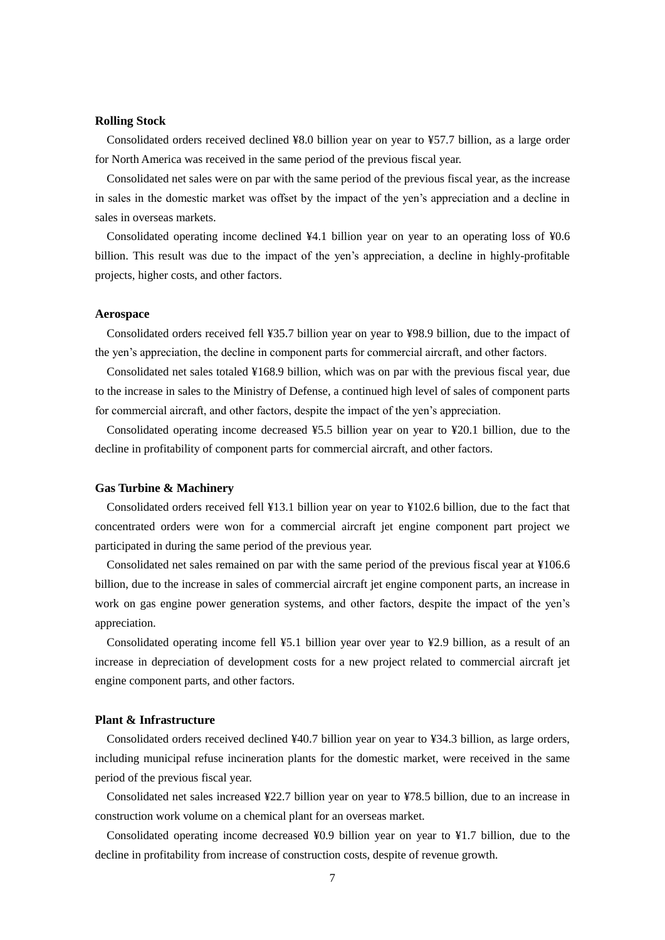#### **Rolling Stock**

Consolidated orders received declined ¥8.0 billion year on year to ¥57.7 billion, as a large order for North America was received in the same period of the previous fiscal year.

Consolidated net sales were on par with the same period of the previous fiscal year, as the increase in sales in the domestic market was offset by the impact of the yen's appreciation and a decline in sales in overseas markets.

Consolidated operating income declined ¥4.1 billion year on year to an operating loss of ¥0.6 billion. This result was due to the impact of the yen's appreciation, a decline in highly-profitable projects, higher costs, and other factors.

#### **Aerospace**

Consolidated orders received fell ¥35.7 billion year on year to ¥98.9 billion, due to the impact of the yen's appreciation, the decline in component parts for commercial aircraft, and other factors.

Consolidated net sales totaled ¥168.9 billion, which was on par with the previous fiscal year, due to the increase in sales to the Ministry of Defense, a continued high level of sales of component parts for commercial aircraft, and other factors, despite the impact of the yen's appreciation.

 Consolidated operating income decreased ¥5.5 billion year on year to ¥20.1 billion, due to the decline in profitability of component parts for commercial aircraft, and other factors.

#### **Gas Turbine & Machinery**

Consolidated orders received fell ¥13.1 billion year on year to ¥102.6 billion, due to the fact that concentrated orders were won for a commercial aircraft jet engine component part project we participated in during the same period of the previous year.

Consolidated net sales remained on par with the same period of the previous fiscal year at ¥106.6 billion, due to the increase in sales of commercial aircraft jet engine component parts, an increase in work on gas engine power generation systems, and other factors, despite the impact of the yen's appreciation.

Consolidated operating income fell ¥5.1 billion year over year to ¥2.9 billion, as a result of an increase in depreciation of development costs for a new project related to commercial aircraft jet engine component parts, and other factors.

#### **Plant & Infrastructure**

Consolidated orders received declined ¥40.7 billion year on year to ¥34.3 billion, as large orders, including municipal refuse incineration plants for the domestic market, were received in the same period of the previous fiscal year.

Consolidated net sales increased ¥22.7 billion year on year to ¥78.5 billion, due to an increase in construction work volume on a chemical plant for an overseas market.

Consolidated operating income decreased ¥0.9 billion year on year to ¥1.7 billion, due to the decline in profitability from increase of construction costs, despite of revenue growth.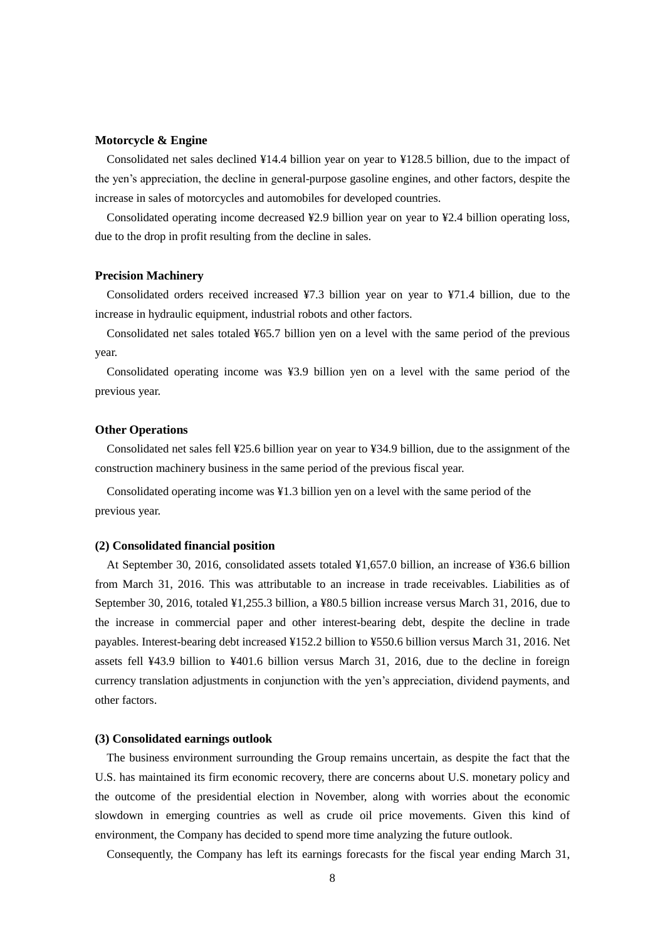#### **Motorcycle & Engine**

Consolidated net sales declined ¥14.4 billion year on year to ¥128.5 billion, due to the impact of the yen's appreciation, the decline in general-purpose gasoline engines, and other factors, despite the increase in sales of motorcycles and automobiles for developed countries.

 Consolidated operating income decreased ¥2.9 billion year on year to ¥2.4 billion operating loss, due to the drop in profit resulting from the decline in sales.

#### **Precision Machinery**

Consolidated orders received increased ¥7.3 billion year on year to ¥71.4 billion, due to the increase in hydraulic equipment, industrial robots and other factors.

Consolidated net sales totaled ¥65.7 billion yen on a level with the same period of the previous year.

Consolidated operating income was ¥3.9 billion yen on a level with the same period of the previous year.

#### **Other Operations**

Consolidated net sales fell ¥25.6 billion year on year to ¥34.9 billion, due to the assignment of the construction machinery business in the same period of the previous fiscal year.

Consolidated operating income was ¥1.3 billion yen on a level with the same period of the previous year.

#### **(2) Consolidated financial position**

At September 30, 2016, consolidated assets totaled ¥1,657.0 billion, an increase of ¥36.6 billion from March 31, 2016. This was attributable to an increase in trade receivables. Liabilities as of September 30, 2016, totaled ¥1,255.3 billion, a ¥80.5 billion increase versus March 31, 2016, due to the increase in commercial paper and other interest-bearing debt, despite the decline in trade payables. Interest-bearing debt increased ¥152.2 billion to ¥550.6 billion versus March 31, 2016. Net assets fell ¥43.9 billion to ¥401.6 billion versus March 31, 2016, due to the decline in foreign currency translation adjustments in conjunction with the yen's appreciation, dividend payments, and other factors.

#### **(3) Consolidated earnings outlook**

The business environment surrounding the Group remains uncertain, as despite the fact that the U.S. has maintained its firm economic recovery, there are concerns about U.S. monetary policy and the outcome of the presidential election in November, along with worries about the economic slowdown in emerging countries as well as crude oil price movements. Given this kind of environment, the Company has decided to spend more time analyzing the future outlook.

Consequently, the Company has left its earnings forecasts for the fiscal year ending March 31,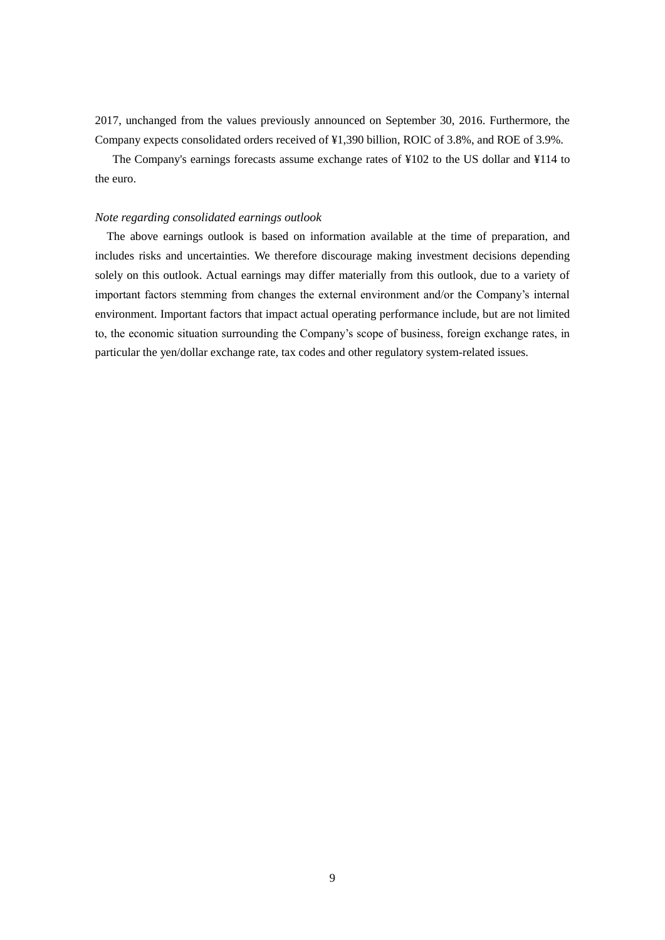2017, unchanged from the values previously announced on September 30, 2016. Furthermore, the Company expects consolidated orders received of ¥1,390 billion, ROIC of 3.8%, and ROE of 3.9%.

The Company's earnings forecasts assume exchange rates of ¥102 to the US dollar and ¥114 to the euro.

## *Note regarding consolidated earnings outlook*

The above earnings outlook is based on information available at the time of preparation, and includes risks and uncertainties. We therefore discourage making investment decisions depending solely on this outlook. Actual earnings may differ materially from this outlook, due to a variety of important factors stemming from changes the external environment and/or the Company's internal environment. Important factors that impact actual operating performance include, but are not limited to, the economic situation surrounding the Company's scope of business, foreign exchange rates, in particular the yen/dollar exchange rate, tax codes and other regulatory system-related issues.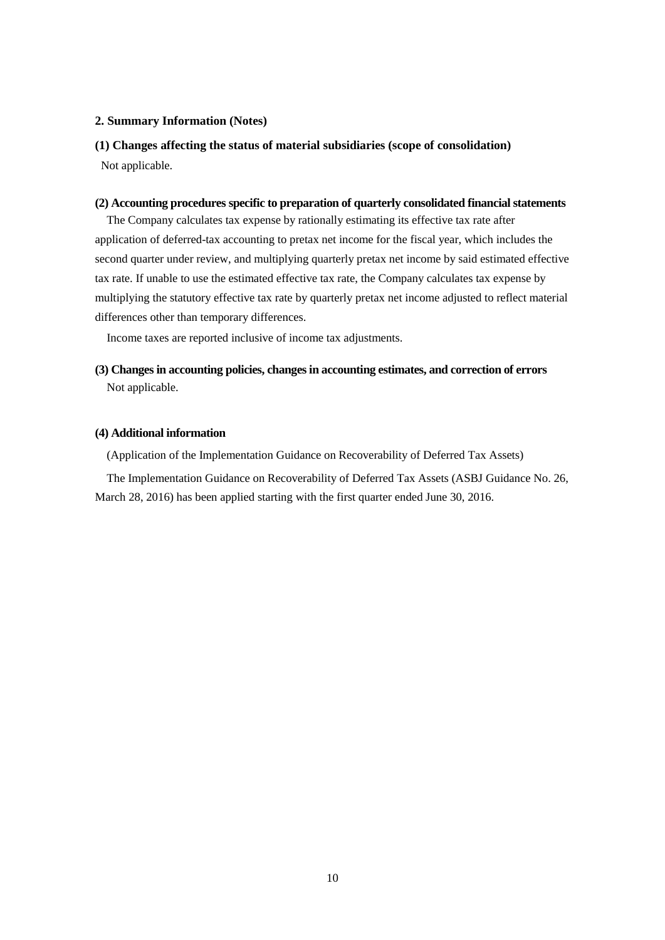## **2. Summary Information (Notes)**

## **(1) Changes affecting the status of material subsidiaries (scope of consolidation)**

Not applicable.

## **(2) Accounting procedures specific to preparation of quarterly consolidated financial statements**

The Company calculates tax expense by rationally estimating its effective tax rate after application of deferred-tax accounting to pretax net income for the fiscal year, which includes the second quarter under review, and multiplying quarterly pretax net income by said estimated effective tax rate. If unable to use the estimated effective tax rate, the Company calculates tax expense by multiplying the statutory effective tax rate by quarterly pretax net income adjusted to reflect material differences other than temporary differences.

Income taxes are reported inclusive of income tax adjustments.

## **(3) Changes in accounting policies, changes in accounting estimates, and correction of errors** Not applicable.

## **(4) Additional information**

(Application of the Implementation Guidance on Recoverability of Deferred Tax Assets)

The Implementation Guidance on Recoverability of Deferred Tax Assets (ASBJ Guidance No. 26, March 28, 2016) has been applied starting with the first quarter ended June 30, 2016.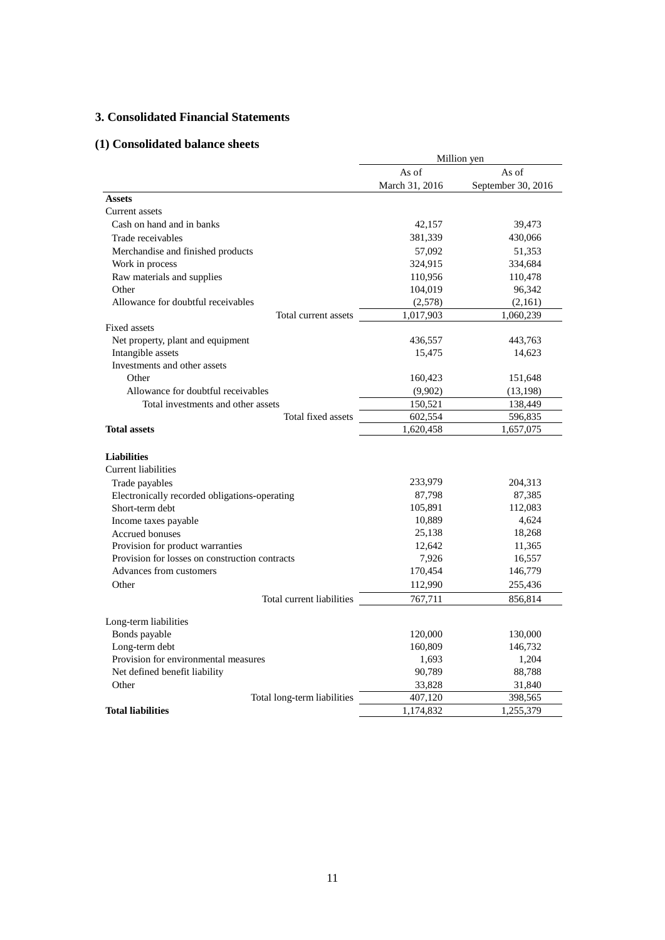## **3. Consolidated Financial Statements**

## **(1) Consolidated balance sheets**

|                                                | Million yen    |                    |  |
|------------------------------------------------|----------------|--------------------|--|
|                                                | As of          | As of              |  |
|                                                | March 31, 2016 | September 30, 2016 |  |
| <b>Assets</b>                                  |                |                    |  |
| Current assets                                 |                |                    |  |
| Cash on hand and in banks                      | 42,157         | 39,473             |  |
| Trade receivables                              | 381,339        | 430,066            |  |
| Merchandise and finished products              | 57,092         | 51,353             |  |
| Work in process                                | 324,915        | 334,684            |  |
| Raw materials and supplies                     | 110,956        | 110,478            |  |
| Other                                          | 104,019        | 96,342             |  |
| Allowance for doubtful receivables             | (2,578)        | (2,161)            |  |
| Total current assets                           | 1,017,903      | 1,060,239          |  |
| Fixed assets                                   |                |                    |  |
| Net property, plant and equipment              | 436,557        | 443,763            |  |
| Intangible assets                              | 15,475         | 14,623             |  |
| Investments and other assets                   |                |                    |  |
| Other                                          | 160,423        | 151,648            |  |
| Allowance for doubtful receivables             | (9,902)        | (13, 198)          |  |
| Total investments and other assets             | 150,521        | 138,449            |  |
| Total fixed assets                             | 602,554        | 596,835            |  |
| <b>Total assets</b>                            | 1,620,458      | 1,657,075          |  |
|                                                |                |                    |  |
| <b>Liabilities</b>                             |                |                    |  |
| <b>Current liabilities</b>                     |                |                    |  |
| Trade payables                                 | 233,979        | 204,313            |  |
| Electronically recorded obligations-operating  | 87,798         | 87,385             |  |
| Short-term debt                                | 105,891        | 112,083            |  |
| Income taxes payable                           | 10,889         | 4,624              |  |
| Accrued bonuses                                | 25,138         | 18,268             |  |
| Provision for product warranties               | 12,642         | 11,365             |  |
| Provision for losses on construction contracts | 7,926          | 16,557             |  |
| Advances from customers                        | 170,454        | 146,779            |  |
| Other                                          | 112,990        | 255,436            |  |
| Total current liabilities                      | 767,711        | 856,814            |  |
|                                                |                |                    |  |
| Long-term liabilities                          |                |                    |  |
| Bonds payable                                  | 120,000        | 130,000            |  |
| Long-term debt                                 | 160,809        | 146,732            |  |
| Provision for environmental measures           | 1,693          | 1,204              |  |
| Net defined benefit liability                  | 90,789         | 88,788             |  |
| Other                                          | 33,828         | 31,840             |  |
| Total long-term liabilities                    | 407,120        | 398,565            |  |
| <b>Total liabilities</b>                       | 1,174,832      | 1,255,379          |  |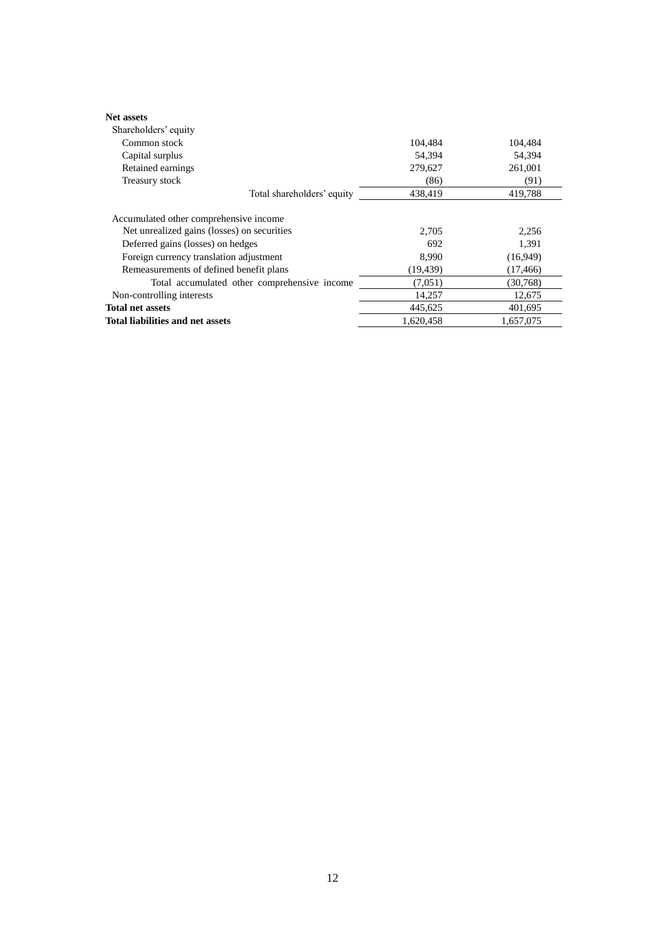| <b>Net assets</b>                            |           |           |
|----------------------------------------------|-----------|-----------|
| Shareholders' equity                         |           |           |
| Common stock                                 | 104,484   | 104,484   |
| Capital surplus                              | 54,394    | 54,394    |
| Retained earnings                            | 279,627   | 261,001   |
| Treasury stock                               | (86)      | (91)      |
| Total shareholders' equity                   | 438.419   | 419,788   |
| Accumulated other comprehensive income       |           |           |
| Net unrealized gains (losses) on securities  | 2,705     | 2,256     |
| Deferred gains (losses) on hedges            | 692       | 1,391     |
| Foreign currency translation adjustment      | 8.990     | (16,949)  |
| Remeasurements of defined benefit plans      | (19, 439) | (17, 466) |
| Total accumulated other comprehensive income | (7,051)   | (30, 768) |
| Non-controlling interests                    | 14,257    | 12,675    |
| <b>Total net assets</b>                      | 445.625   | 401,695   |
| Total liabilities and net assets             | 1,620,458 | 1,657,075 |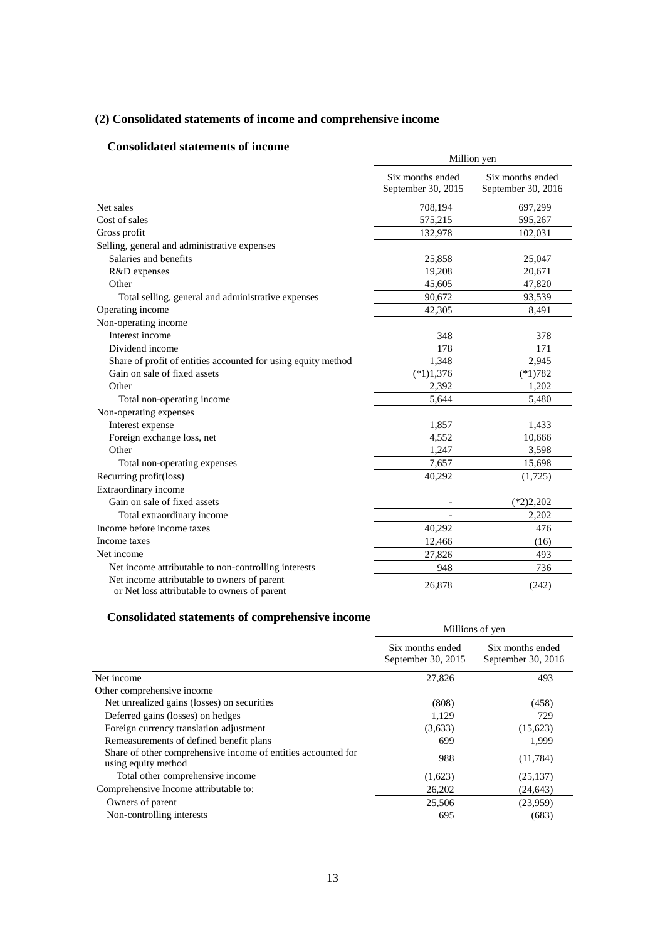## **(2) Consolidated statements of income and comprehensive income**

## **Consolidated statements of income**

|                                                                                             | Million yen                            |                                        |
|---------------------------------------------------------------------------------------------|----------------------------------------|----------------------------------------|
|                                                                                             | Six months ended<br>September 30, 2015 | Six months ended<br>September 30, 2016 |
| Net sales                                                                                   | 708,194                                | 697,299                                |
| Cost of sales                                                                               | 575,215                                | 595,267                                |
| Gross profit                                                                                | 132,978                                | 102,031                                |
| Selling, general and administrative expenses                                                |                                        |                                        |
| Salaries and benefits                                                                       | 25,858                                 | 25,047                                 |
| R&D expenses                                                                                | 19,208                                 | 20,671                                 |
| Other                                                                                       | 45,605                                 | 47,820                                 |
| Total selling, general and administrative expenses                                          | 90,672                                 | 93,539                                 |
| Operating income                                                                            | 42,305                                 | 8,491                                  |
| Non-operating income                                                                        |                                        |                                        |
| Interest income                                                                             | 348                                    | 378                                    |
| Dividend income                                                                             | 178                                    | 171                                    |
| Share of profit of entities accounted for using equity method                               | 1,348                                  | 2,945                                  |
| Gain on sale of fixed assets                                                                | $(*1)1,376$                            | $(*1)782$                              |
| Other                                                                                       | 2,392                                  | 1,202                                  |
| Total non-operating income                                                                  | 5,644                                  | 5,480                                  |
| Non-operating expenses                                                                      |                                        |                                        |
| Interest expense                                                                            | 1,857                                  | 1,433                                  |
| Foreign exchange loss, net                                                                  | 4,552                                  | 10,666                                 |
| Other                                                                                       | 1,247                                  | 3,598                                  |
| Total non-operating expenses                                                                | 7,657                                  | 15,698                                 |
| Recurring profit(loss)                                                                      | 40,292                                 | (1,725)                                |
| Extraordinary income                                                                        |                                        |                                        |
| Gain on sale of fixed assets                                                                |                                        | $(*2)2,202$                            |
| Total extraordinary income                                                                  |                                        | 2,202                                  |
| Income before income taxes                                                                  | 40,292                                 | 476                                    |
| Income taxes                                                                                | 12,466                                 | (16)                                   |
| Net income                                                                                  | 27,826                                 | 493                                    |
| Net income attributable to non-controlling interests                                        | 948                                    | 736                                    |
| Net income attributable to owners of parent<br>or Net loss attributable to owners of parent | 26,878                                 | (242)                                  |

## **Consolidated statements of comprehensive income**

|                                                                                      | Millions of yen                        |                                        |  |
|--------------------------------------------------------------------------------------|----------------------------------------|----------------------------------------|--|
|                                                                                      | Six months ended<br>September 30, 2015 | Six months ended<br>September 30, 2016 |  |
| Net income                                                                           | 27,826                                 | 493                                    |  |
| Other comprehensive income                                                           |                                        |                                        |  |
| Net unrealized gains (losses) on securities                                          | (808)                                  | (458)                                  |  |
| Deferred gains (losses) on hedges                                                    | 1,129                                  | 729                                    |  |
| Foreign currency translation adjustment                                              | (3,633)                                | (15,623)                               |  |
| Remeasurements of defined benefit plans                                              | 699                                    | 1,999                                  |  |
| Share of other comprehensive income of entities accounted for<br>using equity method | 988                                    | (11, 784)                              |  |
| Total other comprehensive income                                                     | (1,623)                                | (25, 137)                              |  |
| Comprehensive Income attributable to:                                                | 26,202                                 | (24, 643)                              |  |
| Owners of parent                                                                     | 25,506                                 | (23,959)                               |  |
| Non-controlling interests                                                            | 695                                    | (683)                                  |  |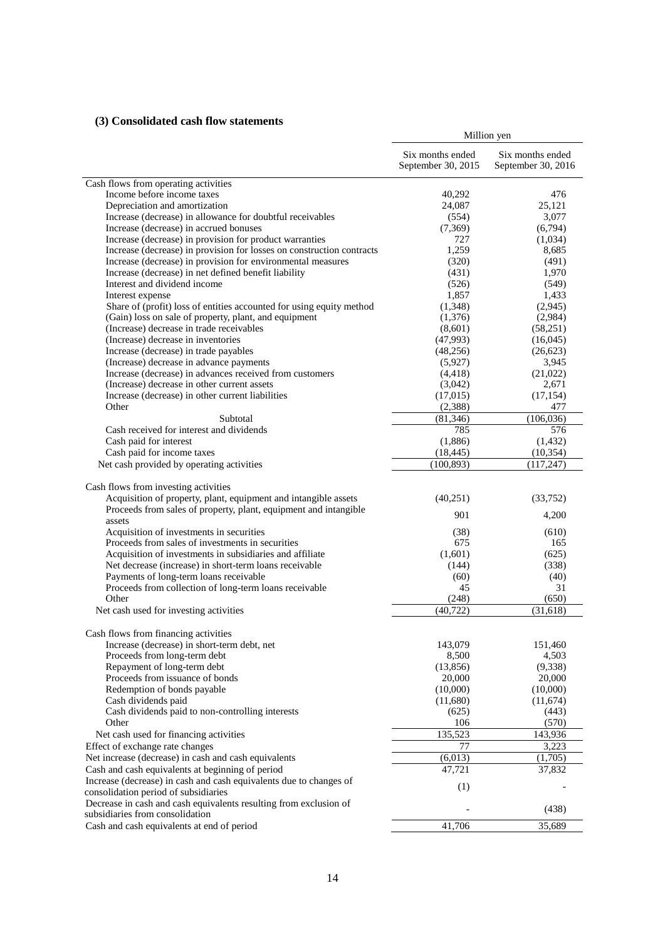## **(3) Consolidated cash flow statements**

|                                                                       | Million yen                            |                                        |  |
|-----------------------------------------------------------------------|----------------------------------------|----------------------------------------|--|
|                                                                       | Six months ended<br>September 30, 2015 | Six months ended<br>September 30, 2016 |  |
| Cash flows from operating activities                                  |                                        |                                        |  |
| Income before income taxes                                            | 40,292                                 | 476                                    |  |
| Depreciation and amortization                                         | 24,087                                 | 25,121                                 |  |
| Increase (decrease) in allowance for doubtful receivables             | (554)                                  | 3,077                                  |  |
| Increase (decrease) in accrued bonuses                                | (7,369)                                | (6,794)                                |  |
| Increase (decrease) in provision for product warranties               | 727                                    | (1,034)                                |  |
| Increase (decrease) in provision for losses on construction contracts | 1,259                                  | 8,685                                  |  |
| Increase (decrease) in provision for environmental measures           | (320)                                  | (491)                                  |  |
| Increase (decrease) in net defined benefit liability                  | (431)                                  | 1,970                                  |  |
| Interest and dividend income                                          | (526)                                  | (549)                                  |  |
| Interest expense                                                      | 1,857                                  | 1,433                                  |  |
| Share of (profit) loss of entities accounted for using equity method  | (1,348)                                | (2,945)                                |  |
| (Gain) loss on sale of property, plant, and equipment                 | (1,376)                                | (2,984)                                |  |
| (Increase) decrease in trade receivables                              | (8,601)                                | (58, 251)                              |  |
| (Increase) decrease in inventories                                    | (47,993)                               | (16,045)                               |  |
| Increase (decrease) in trade payables                                 | (48,256)                               | (26, 623)                              |  |
| (Increase) decrease in advance payments                               | (5,927)                                | 3,945                                  |  |
| Increase (decrease) in advances received from customers               | (4, 418)                               | (21,022)                               |  |
| (Increase) decrease in other current assets                           | (3,042)                                | 2,671                                  |  |
| Increase (decrease) in other current liabilities                      | (17,015)                               | (17, 154)                              |  |
| Other                                                                 | (2,388)                                | 477                                    |  |
| Subtotal                                                              | (81, 346)                              | (106, 036)                             |  |
| Cash received for interest and dividends                              | 785                                    | 576                                    |  |
| Cash paid for interest                                                | (1,886)                                | (1, 432)                               |  |
| Cash paid for income taxes                                            | (18, 445)                              | (10, 354)                              |  |
| Net cash provided by operating activities                             | (100, 893)                             | (117, 247)                             |  |
| Cash flows from investing activities                                  |                                        |                                        |  |
| Acquisition of property, plant, equipment and intangible assets       | (40,251)                               | (33,752)                               |  |
| Proceeds from sales of property, plant, equipment and intangible      |                                        |                                        |  |
| assets                                                                | 901                                    | 4,200                                  |  |
| Acquisition of investments in securities                              | (38)                                   | (610)                                  |  |
| Proceeds from sales of investments in securities                      | 675                                    | 165                                    |  |
| Acquisition of investments in subsidiaries and affiliate              | (1,601)                                | (625)                                  |  |
| Net decrease (increase) in short-term loans receivable                | (144)                                  | (338)                                  |  |
| Payments of long-term loans receivable                                | (60)                                   | (40)                                   |  |
| Proceeds from collection of long-term loans receivable                | 45                                     | 31                                     |  |
| Other                                                                 | (248)                                  | (650)                                  |  |
| Net cash used for investing activities                                | (40, 722)                              | (31, 618)                              |  |
| Cash flows from financing activities                                  |                                        |                                        |  |
| Increase (decrease) in short-term debt, net                           | 143,079                                | 151,460                                |  |
| Proceeds from long-term debt                                          | 8,500                                  | 4,503                                  |  |
| Repayment of long-term debt                                           | (13,856)                               | (9,338)                                |  |
| Proceeds from issuance of bonds                                       | 20,000                                 | 20,000                                 |  |
| Redemption of bonds payable                                           | (10,000)                               | (10,000)                               |  |
| Cash dividends paid                                                   | (11,680)                               | (11,674)                               |  |
| Cash dividends paid to non-controlling interests                      | (625)                                  | (443)                                  |  |
| Other                                                                 | 106                                    | (570)                                  |  |
| Net cash used for financing activities                                | 135,523                                | 143,936                                |  |
| Effect of exchange rate changes                                       | 77                                     | 3,223                                  |  |
| Net increase (decrease) in cash and cash equivalents                  | (6,013)                                | (1,705)                                |  |
| Cash and cash equivalents at beginning of period                      | 47,721                                 | 37,832                                 |  |
| Increase (decrease) in cash and cash equivalents due to changes of    |                                        |                                        |  |
| consolidation period of subsidiaries                                  | (1)                                    |                                        |  |
| Decrease in cash and cash equivalents resulting from exclusion of     |                                        |                                        |  |
| subsidiaries from consolidation                                       |                                        | (438)                                  |  |
| Cash and cash equivalents at end of period                            | 41,706                                 | 35,689                                 |  |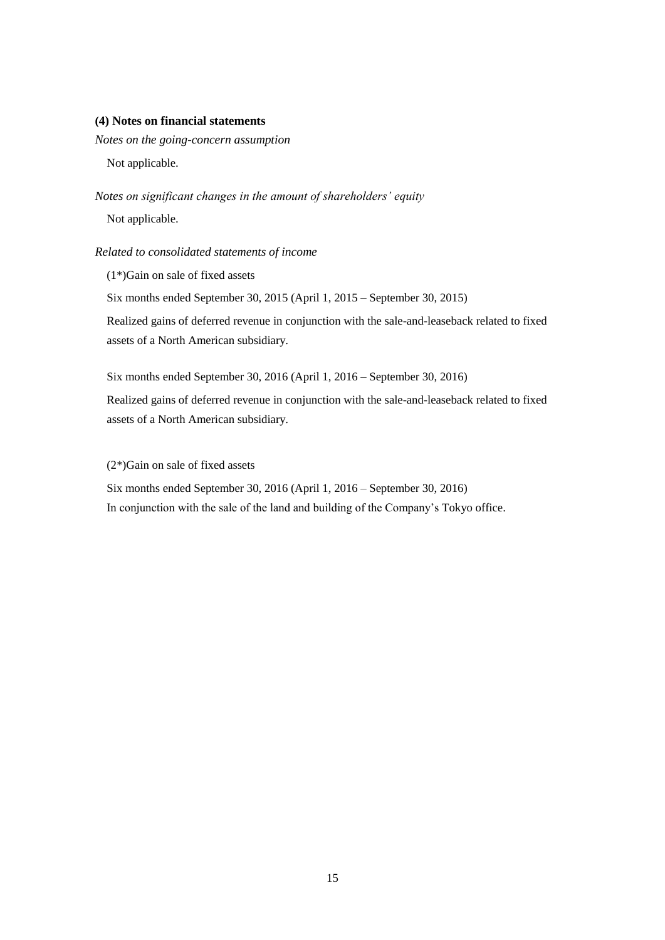## **(4) Notes on financial statements**

*Notes on the going-concern assumption* 

Not applicable.

*Notes on significant changes in the amount of shareholders' equity* Not applicable.

*Related to consolidated statements of income*

(1\*)Gain on sale of fixed assets

Six months ended September 30, 2015 (April 1, 2015 – September 30, 2015)

Realized gains of deferred revenue in conjunction with the sale-and-leaseback related to fixed assets of a North American subsidiary.

Six months ended September 30, 2016 (April 1, 2016 – September 30, 2016)

Realized gains of deferred revenue in conjunction with the sale-and-leaseback related to fixed assets of a North American subsidiary.

(2\*)Gain on sale of fixed assets

Six months ended September 30, 2016 (April 1, 2016 – September 30, 2016)

In conjunction with the sale of the land and building of the Company's Tokyo office.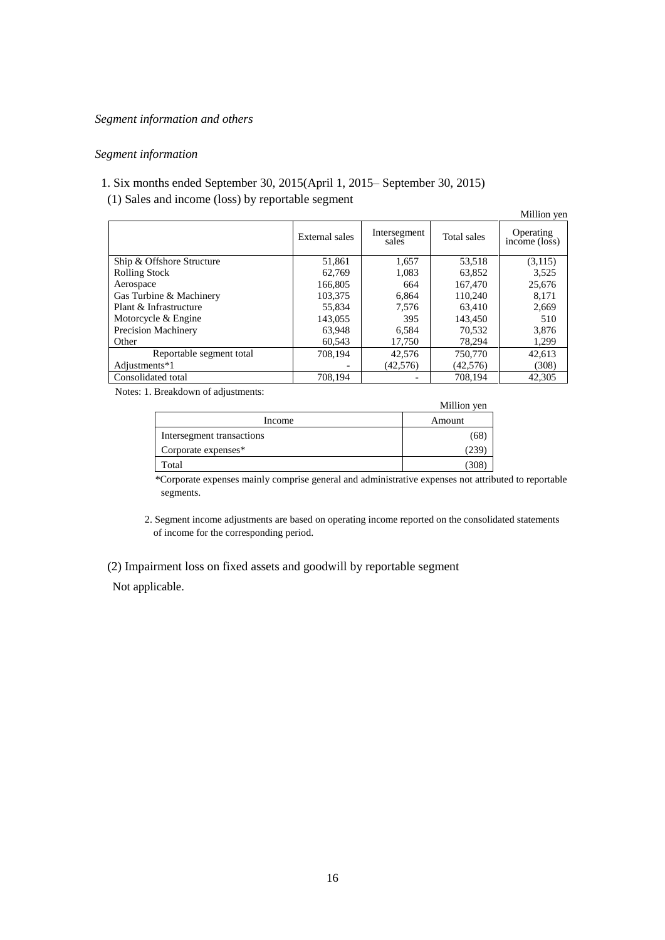## *Segment information and others*

## *Segment information*

## 1. Six months ended September 30, 2015(April 1, 2015– September 30, 2015)

(1) Sales and income (loss) by reportable segment

|                            |                |                       |             | Million yer                |
|----------------------------|----------------|-----------------------|-------------|----------------------------|
|                            | External sales | Intersegment<br>sales | Total sales | Operating<br>income (loss) |
| Ship & Offshore Structure  | 51,861         | 1,657                 | 53,518      | (3,115)                    |
| <b>Rolling Stock</b>       | 62.769         | 1.083                 | 63.852      | 3.525                      |
| Aerospace                  | 166,805        | 664                   | 167,470     | 25,676                     |
| Gas Turbine & Machinery    | 103,375        | 6,864                 | 110,240     | 8,171                      |
| Plant & Infrastructure     | 55,834         | 7.576                 | 63.410      | 2,669                      |
| Motorcycle & Engine        | 143,055        | 395                   | 143.450     | 510                        |
| <b>Precision Machinery</b> | 63,948         | 6,584                 | 70,532      | 3,876                      |
| Other                      | 60,543         | 17,750                | 78,294      | 1,299                      |
| Reportable segment total   | 708.194        | 42,576                | 750,770     | 42.613                     |
| Adjustments*1              |                | (42,576)              | (42,576)    | (308)                      |
| Consolidated total         | 708,194        |                       | 708.194     | 42.305                     |

Notes: 1. Breakdown of adjustments:

| $-$                       | Million yen |
|---------------------------|-------------|
| Income                    | Amount      |
| Intersegment transactions | (68         |
| Corporate expenses*       | (239        |
| Total                     | 30٪         |

\*Corporate expenses mainly comprise general and administrative expenses not attributed to reportable segments.

2. Segment income adjustments are based on operating income reported on the consolidated statements of income for the corresponding period.

(2) Impairment loss on fixed assets and goodwill by reportable segment

Not applicable.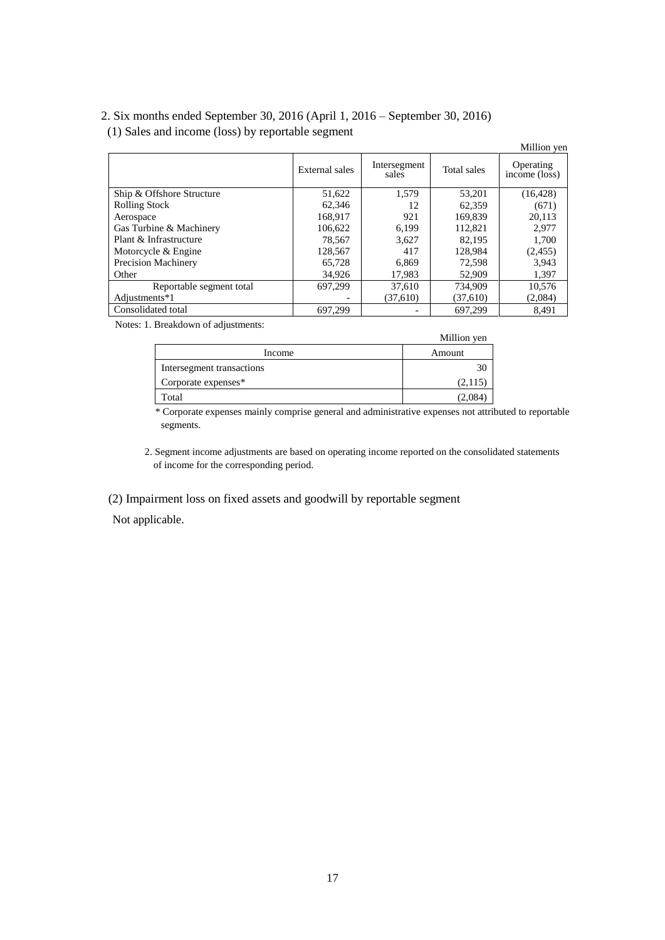## 2. Six months ended September 30, 2016 (April 1, 2016 – September 30, 2016) (1) Sales and income (loss) by reportable segment

|                            |                |                       |             | Million yen                             |
|----------------------------|----------------|-----------------------|-------------|-----------------------------------------|
|                            | External sales | Intersegment<br>sales | Total sales | Operating<br>$inc\overline{one}$ (loss) |
| Ship & Offshore Structure  | 51,622         | 1.579                 | 53,201      | (16, 428)                               |
| <b>Rolling Stock</b>       | 62.346         | 12                    | 62.359      | (671)                                   |
| Aerospace                  | 168.917        | 921                   | 169,839     | 20,113                                  |
| Gas Turbine & Machinery    | 106.622        | 6.199                 | 112,821     | 2.977                                   |
| Plant & Infrastructure     | 78.567         | 3.627                 | 82.195      | 1,700                                   |
| Motorcycle & Engine        | 128,567        | 417                   | 128.984     | (2,455)                                 |
| <b>Precision Machinery</b> | 65,728         | 6,869                 | 72,598      | 3,943                                   |
| Other                      | 34.926         | 17,983                | 52,909      | 1,397                                   |
| Reportable segment total   | 697.299        | 37.610                | 734.909     | 10.576                                  |
| Adjustments*1              |                | (37,610)              | (37,610)    | (2,084)                                 |
| Consolidated total         | 697,299        |                       | 697.299     | 8.491                                   |

Notes: 1. Breakdown of adjustments:

|                           | Million yen |
|---------------------------|-------------|
| Income                    | Amount      |
| Intersegment transactions | 30          |
| Corporate expenses*       | (2,115)     |
| Total                     | (2,084)     |

\* Corporate expenses mainly comprise general and administrative expenses not attributed to reportable segments.

2. Segment income adjustments are based on operating income reported on the consolidated statements of income for the corresponding period.

(2) Impairment loss on fixed assets and goodwill by reportable segment

Not applicable.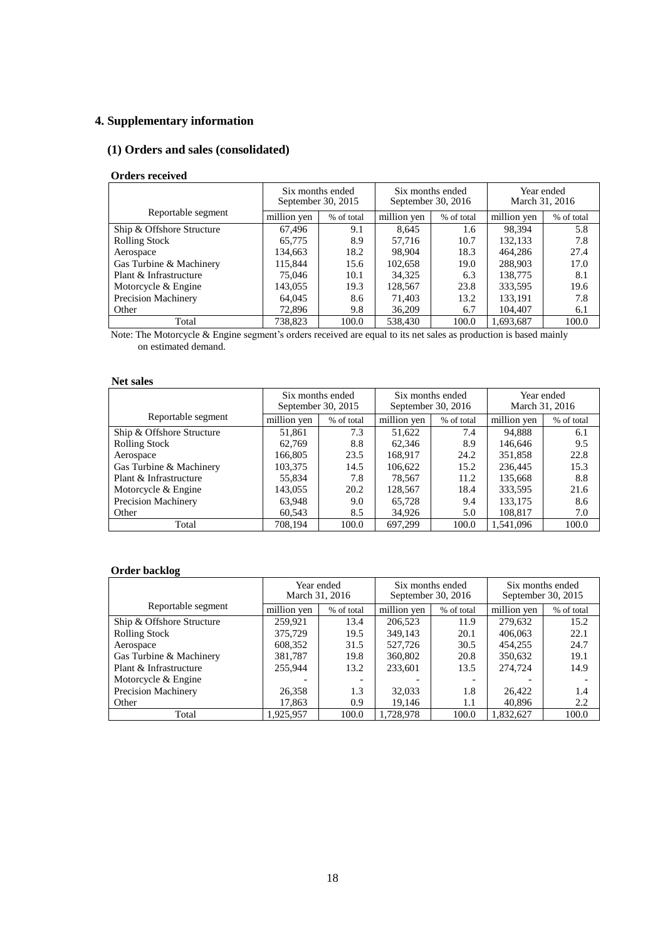## **4. Supplementary information**

## **(1) Orders and sales (consolidated)**

#### **Orders received**

|                            | Six months ended<br>September 30, 2015 |            | Six months ended | September 30, 2016 | Year ended<br>March 31, 2016 |            |
|----------------------------|----------------------------------------|------------|------------------|--------------------|------------------------------|------------|
| Reportable segment         | million ven                            | % of total | million ven      | % of total         | million ven                  | % of total |
| Ship & Offshore Structure  | 67.496                                 | 9.1        | 8,645            | 1.6                | 98.394                       | 5.8        |
| <b>Rolling Stock</b>       | 65,775                                 | 8.9        | 57.716           | 10.7               | 132,133                      | 7.8        |
| Aerospace                  | 134.663                                | 18.2       | 98.904           | 18.3               | 464.286                      | 27.4       |
| Gas Turbine & Machinery    | 115,844                                | 15.6       | 102,658          | 19.0               | 288,903                      | 17.0       |
| Plant & Infrastructure     | 75,046                                 | 10.1       | 34.325           | 6.3                | 138,775                      | 8.1        |
| Motorcycle & Engine        | 143,055                                | 19.3       | 128.567          | 23.8               | 333,595                      | 19.6       |
| <b>Precision Machinery</b> | 64.045                                 | 8.6        | 71.403           | 13.2               | 133,191                      | 7.8        |
| Other                      | 72,896                                 | 9.8        | 36,209           | 6.7                | 104.407                      | 6.1        |
| Total                      | 738.823                                | 100.0      | 538,430          | 100.0              | 1.693.687                    | 100.0      |

Note: The Motorcycle & Engine segment's orders received are equal to its net sales as production is based mainly on estimated demand.

## **Net sales**

|                            | September 30, 2015 | Six months ended | Six months ended<br>September 30, 2016 |            | Year ended<br>March 31, 2016 |            |
|----------------------------|--------------------|------------------|----------------------------------------|------------|------------------------------|------------|
| Reportable segment         | million yen        | % of total       | million yen                            | % of total | million yen                  | % of total |
| Ship & Offshore Structure  | 51,861             | 7.3              | 51,622                                 | 7.4        | 94,888                       | 6.1        |
| <b>Rolling Stock</b>       | 62,769             | 8.8              | 62,346                                 | 8.9        | 146,646                      | 9.5        |
| Aerospace                  | 166,805            | 23.5             | 168.917                                | 24.2       | 351,858                      | 22.8       |
| Gas Turbine & Machinery    | 103,375            | 14.5             | 106,622                                | 15.2       | 236,445                      | 15.3       |
| Plant & Infrastructure     | 55,834             | 7.8              | 78,567                                 | 11.2       | 135,668                      | 8.8        |
| Motorcycle & Engine        | 143,055            | 20.2             | 128,567                                | 18.4       | 333,595                      | 21.6       |
| <b>Precision Machinery</b> | 63,948             | 9.0              | 65,728                                 | 9.4        | 133,175                      | 8.6        |
| Other                      | 60,543             | 8.5              | 34,926                                 | 5.0        | 108,817                      | 7.0        |
| Total                      | 708.194            | 100.0            | 697.299                                | 100.0      | 1.541.096                    | 100.0      |

#### **Order backlog**

|                            |             | Year ended<br>March 31, 2016 |             | Six months ended<br>September 30, 2016 | Six months ended<br>September 30, 2015 |            |
|----------------------------|-------------|------------------------------|-------------|----------------------------------------|----------------------------------------|------------|
| Reportable segment         | million yen | % of total                   | million yen | % of total                             | million yen                            | % of total |
| Ship & Offshore Structure  | 259.921     | 13.4                         | 206,523     | 11.9                                   | 279,632                                | 15.2       |
| <b>Rolling Stock</b>       | 375,729     | 19.5                         | 349,143     | 20.1                                   | 406,063                                | 22.1       |
| Aerospace                  | 608,352     | 31.5                         | 527,726     | 30.5                                   | 454,255                                | 24.7       |
| Gas Turbine & Machinery    | 381.787     | 19.8                         | 360,802     | 20.8                                   | 350,632                                | 19.1       |
| Plant & Infrastructure     | 255,944     | 13.2                         | 233,601     | 13.5                                   | 274,724                                | 14.9       |
| Motorcycle & Engine        |             |                              |             |                                        |                                        |            |
| <b>Precision Machinery</b> | 26,358      | 1.3                          | 32,033      | 1.8                                    | 26.422                                 | 1.4        |
| Other                      | 17,863      | 0.9                          | 19,146      | 1.1                                    | 40,896                                 | 2.2        |
| Total                      | 1.925.957   | 100.0                        | 1.728.978   | 100.0                                  | 1.832.627                              | 100.0      |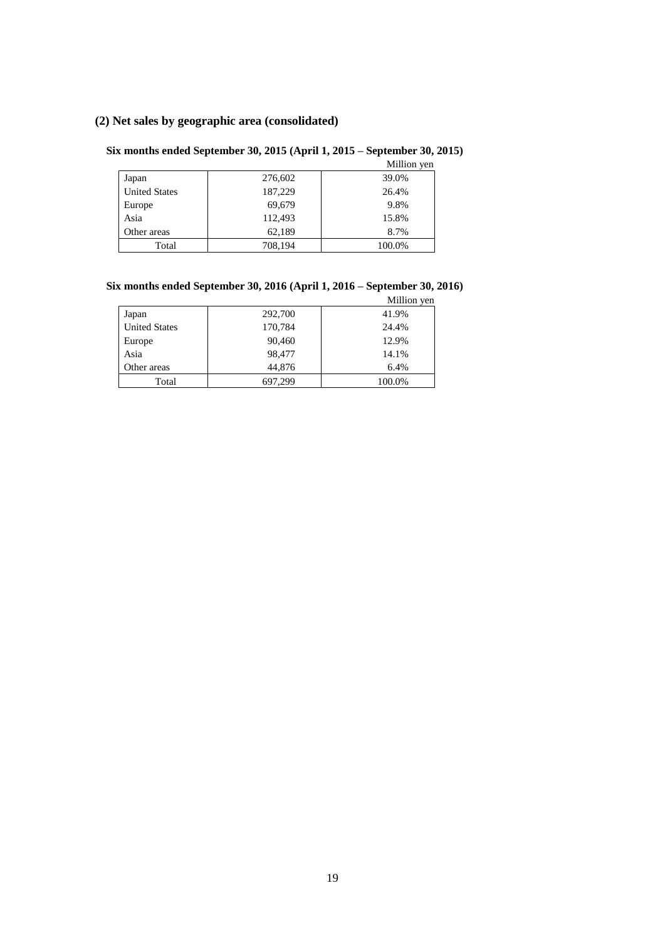## **(2) Net sales by geographic area (consolidated)**

## **Six months ended September 30, 2015 (April 1, 2015 – September 30, 2015)**

|                      |         | Million yen |
|----------------------|---------|-------------|
| Japan                | 276,602 | 39.0%       |
| <b>United States</b> | 187,229 | 26.4%       |
| Europe               | 69,679  | 9.8%        |
| Asia                 | 112,493 | 15.8%       |
| Other areas          | 62,189  | 8.7%        |
| Total                | 708,194 | 100.0%      |

# **Six months ended September 30, 2016 (April 1, 2016 – September 30, 2016)**

|                      |         | Million yen |
|----------------------|---------|-------------|
| Japan                | 292,700 | 41.9%       |
| <b>United States</b> | 170,784 | 24.4%       |
| Europe               | 90,460  | 12.9%       |
| Asia                 | 98,477  | 14.1%       |
| Other areas          | 44,876  | 6.4%        |
| Total                | 697,299 | 100.0%      |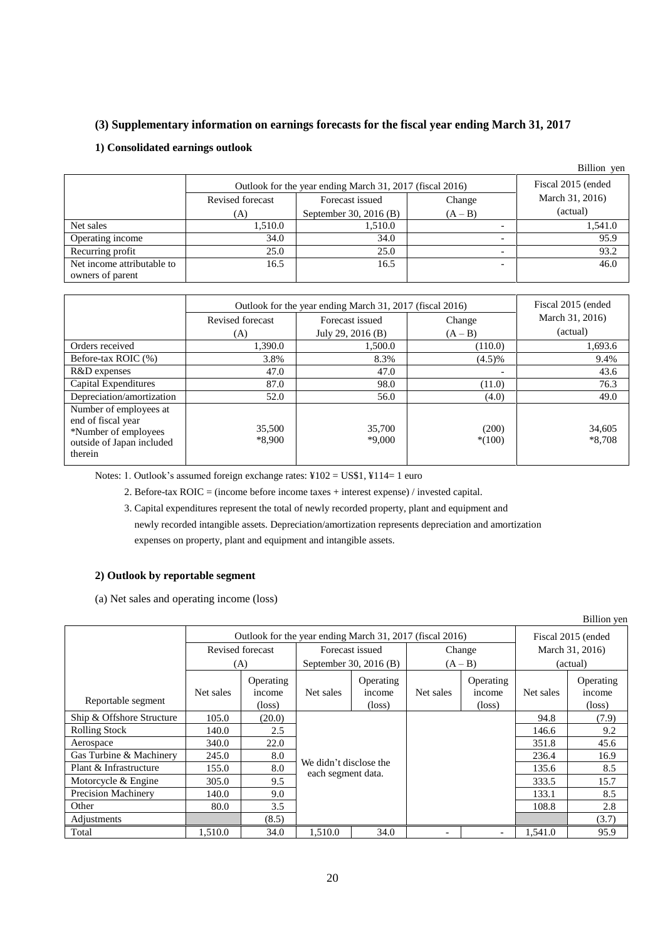## **(3) Supplementary information on earnings forecasts for the fiscal year ending March 31, 2017**

## **1) Consolidated earnings outlook**

|                            |                                                          |                        |                          | Billion yen     |
|----------------------------|----------------------------------------------------------|------------------------|--------------------------|-----------------|
|                            | Outlook for the year ending March 31, 2017 (fiscal 2016) | Fiscal 2015 (ended     |                          |                 |
|                            | Revised forecast                                         | Forecast issued        | Change                   | March 31, 2016) |
|                            | (A)                                                      | September 30, 2016 (B) | $(A - B)$                | (actual)        |
| Net sales                  | 1.510.0                                                  | 1,510.0                | -                        | 1,541.0         |
| Operating income           | 34.0                                                     | 34.0                   | -                        | 95.9            |
| Recurring profit           | 25.0                                                     | 25.0                   | $\overline{\phantom{0}}$ | 93.2            |
| Net income attributable to | 16.5                                                     | 16.5                   | -                        | 46.0            |
| owners of parent           |                                                          |                        |                          |                 |

|                                                                                                              | Outlook for the year ending March 31, 2017 (fiscal 2016) | Fiscal 2015 (ended        |                          |                    |
|--------------------------------------------------------------------------------------------------------------|----------------------------------------------------------|---------------------------|--------------------------|--------------------|
|                                                                                                              | Revised forecast                                         | Forecast issued<br>Change |                          | March 31, 2016)    |
|                                                                                                              | (A)                                                      | July 29, 2016 (B)         | $(A - B)$                | (actual)           |
| Orders received                                                                                              | 1,390.0                                                  | 1,500.0                   | (110.0)                  | 1,693.6            |
| Before-tax ROIC (%)                                                                                          | 3.8%                                                     | 8.3%                      | $(4.5)\%$                | 9.4%               |
| R&D expenses                                                                                                 | 47.0                                                     | 47.0                      | $\overline{\phantom{a}}$ | 43.6               |
| Capital Expenditures                                                                                         | 87.0                                                     | 98.0                      | (11.0)                   | 76.3               |
| Depreciation/amortization                                                                                    | 52.0                                                     | 56.0                      | (4.0)                    | 49.0               |
| Number of employees at<br>end of fiscal year<br>*Number of employees<br>outside of Japan included<br>therein | 35,500<br>*8.900                                         | 35,700<br>$*9,000$        | (200)<br>$*(100)$        | 34,605<br>$*8.708$ |

Notes: 1. Outlook's assumed foreign exchange rates: ¥102 = US\$1, ¥114= 1 euro

2. Before-tax ROIC = (income before income taxes + interest expense) / invested capital.

3. Capital expenditures represent the total of newly recorded property, plant and equipment and newly recorded intangible assets. Depreciation/amortization represents depreciation and amortization expenses on property, plant and equipment and intangible assets.

## **2) Outlook by reportable segment**

(a) Net sales and operating income (loss)

|                            |                                                          |                 |                                              |           |           |                          |                 | Billion yen     |
|----------------------------|----------------------------------------------------------|-----------------|----------------------------------------------|-----------|-----------|--------------------------|-----------------|-----------------|
|                            | Outlook for the year ending March 31, 2017 (fiscal 2016) |                 |                                              |           |           | Fiscal 2015 (ended       |                 |                 |
|                            | Revised forecast                                         |                 | Forecast issued                              |           | Change    |                          | March 31, 2016) |                 |
|                            | (A)                                                      |                 | September 30, 2016 (B)                       |           | $(A - B)$ |                          | (actual)        |                 |
|                            |                                                          | Operating       |                                              | Operating |           | Operating                |                 | Operating       |
|                            | Net sales                                                | income          | Net sales                                    | income    | Net sales | income                   | Net sales       | income          |
| Reportable segment         |                                                          | $(\text{loss})$ |                                              | (loss)    |           | $(\text{loss})$          |                 | $(\text{loss})$ |
| Ship & Offshore Structure  | 105.0                                                    | (20.0)          |                                              |           |           |                          | 94.8            | (7.9)           |
| <b>Rolling Stock</b>       | 140.0                                                    | 2.5             | We didn't disclose the<br>each segment data. |           |           |                          | 146.6           | 9.2             |
| Aerospace                  | 340.0                                                    | 22.0            |                                              |           |           |                          | 351.8           | 45.6            |
| Gas Turbine & Machinery    | 245.0                                                    | 8.0             |                                              |           |           |                          | 236.4           | 16.9            |
| Plant & Infrastructure     | 155.0                                                    | 8.0             |                                              |           |           |                          | 135.6           | 8.5             |
| Motorcycle & Engine        | 305.0                                                    | 9.5             |                                              |           |           |                          | 333.5           | 15.7            |
| <b>Precision Machinery</b> | 140.0                                                    | 9.0             |                                              |           |           |                          | 133.1           | 8.5             |
| Other                      | 80.0                                                     | 3.5             |                                              |           |           |                          | 108.8           | 2.8             |
| Adjustments                |                                                          | (8.5)           |                                              |           |           |                          |                 | (3.7)           |
| Total                      | 1.510.0                                                  | 34.0            | 1.510.0                                      | 34.0      |           | $\overline{\phantom{a}}$ | 1.541.0         | 95.9            |